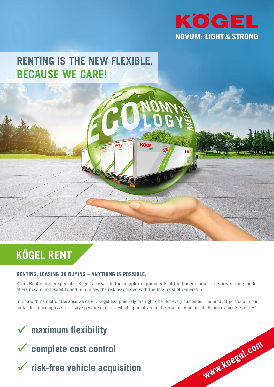

**www.koegel.com**

# **RENTING IS THE NEW FLEXIBLE. BECAUSE WE CARE!**



## **RENTING, LEASING OR BUYING – ANYTHING IS POSSIBLE.**

Kögel Rent is trailer specialist Kögel's answer to the complex requirements of the trailer market. The new renting model offers maximum flexibility and minimises the risk associated with the total cost of ownership.

**KOGEL** 

In line with its motto "Because we care", Kögel has precisely the right offer for every customer. The product portfolio in our rental fleet encompasses industry-specific solutions, which optimally fulfil the guiding principle of "Economy meets Ecology".

# ü **maximum flexibility**



ü **risk-free vehicle acquisition**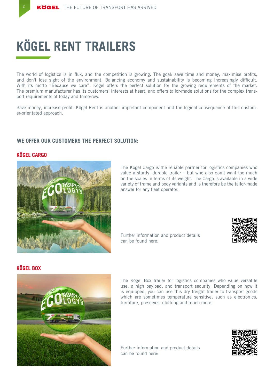# **KÖGEL RENT TRAILERS**

The world of logistics is in flux, and the competition is growing. The goal: save time and money, maximise profits, and don't lose sight of the environment. Balancing economy and sustainability is becoming increasingly difficult. With its motto "Because we care", Kögel offers the perfect solution for the growing requirements of the market. The premium manufacturer has its customers' interests at heart, and offers tailor-made solutions for the complex transport requirements of today and tomorrow.

Save money, increase profit. Kögel Rent is another important component and the logical consequence of this customer-orientated approach.

# **WE OFFER OUR CUSTOMERS THE PERFECT SOLUTION:**

### **KÖGEL CARGO**

2



The Kögel Cargo is the reliable partner for logistics companies who value a sturdy, durable trailer – but who also don't want too much on the scales in terms of its weight. The Cargo is available in a wide variety of frame and body variants and is therefore be the tailor-made answer for any fleet operator.

Further information and product details can be found here:



# **KÖGEL BOX**



The Kögel Box trailer for logistics companies who value versatile use, a high payload, and transport security. Depending on how it is equipped, you can use this dry freight trailer to transport goods which are sometimes temperature sensitive, such as electronics, furniture, preserves, clothing and much more.

Further information and product details can be found here:

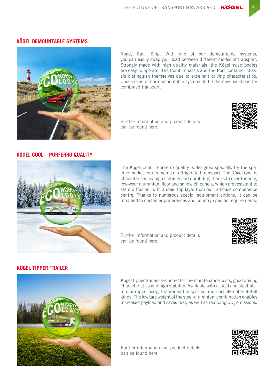#### **KÖGEL DEMOUNTABLE SYSTEMS**



Road, Rail, Ship. With one of our demountable systems, you can easily swap your load between different modes of transport. Strongly made with high quality materials, the Kögel swap bodies are easy to operate. The Combi chassis and the Port container chassis distinguish themselves due to excellent driving characteristics. Choose one of our demountable systems to be the new backbone for combined transport.

Further information and product details can be found here:



#### **KÖGEL COOL – PURFERRO QUALITY**



The Kögel Cool – PurFerro quality is designed specially for the specific market requirements of refrigerated transport. The Kögel Cool is characterised by high stability and durability, thanks to user-friendly, low-wear aluminium floor and sandwich panels, which are resistant to stem diffusion, with a steel top layer from our in-house competence centre. Thanks to numerous special equipment options, it can be modified to customer preferences and country-specific requirements.

Further information and product details can be found here:



# **KÖGEL TIPPER TRAILER**



Kögel tipper trailers are noted for low maintenance costs, good driving characteristics and high stability. Available with a steel and steel-aluminium tipper body, it is the ideal transport solution for bulk material of all kinds. The low tare weight of the steel-aluminium combination enables increased payload and saves fuel, as well as reducing CO<sub>2</sub> emissions.

Further information and product details can be found here: